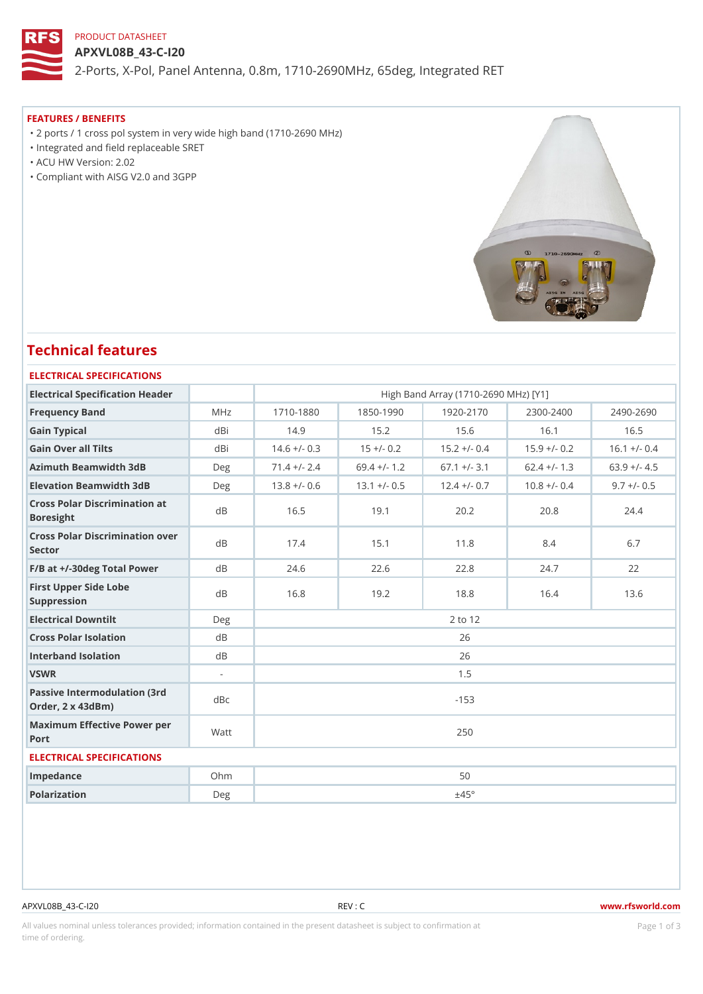## PRODUCT DATASHEET

APXVL08B\_43-C-I20 2-Ports, X-Pol, Panel Antenna, 0.8m, 1710-2690MHz, 65deg, Integrated

#### FEATURES / BENEFITS

 "2 ports / 1 cross pol system in very wide high band (1710-2690 MHz) "Integrated and field replaceable SRET

"ACU HW Version: 2.02

"Compliant with AISG V2.0 and 3GPP

# Technical features

## ELECTRICAL SPECIFICATIONS

| Electrical Specification Header                       |        |               |               |              | High Band Array (1710-2690 MHz) [Y1] |                                                                      |
|-------------------------------------------------------|--------|---------------|---------------|--------------|--------------------------------------|----------------------------------------------------------------------|
| Frequency Band                                        | MHz    | $1710 - 1880$ | $1850 - 1990$ | $1920 - 217$ | $2300 - 2400$                        | $2490 - 2690$                                                        |
| Gain Typical                                          | dBi    | 14.9          | 15.2          | 15.6         | 16.1                                 | 16.5                                                                 |
| Gain Over all Tilts                                   | dBi    |               |               |              |                                      | $14.6 +/-$ 0.3 15 +/- 0.2 15.2 +/- 0.4 15.9 +/- 0.2 16.1 +/- 0.4     |
| Azimuth Beamwidth 3dB                                 | Deg    |               |               |              |                                      | 71.4 +/- 2.4 69.4 +/- 1.2 67.1 +/- 3.1 62.4 +/- 1.3 63.9 +/- 4.5     |
| Elevation Beamwidth 3dB                               | Deg    |               |               |              |                                      | $13.8 + (-0.613.1 + (-0.512.4 + (-0.710.8 + (-0.49.7 + (-0.510.34))$ |
| Cross Polar Discrimination at<br><b>Boresight</b>     |        | 16.5          | 19.1          | 20.2         | 20.8                                 | 24.4                                                                 |
| Cross Polar Discrimination over<br>Sector             |        | 17.4          | 15.1          | 11.8         | 8.4                                  | 6.7                                                                  |
| $F/B$ at $+/-30$ deg Total Powerd B                   |        | 24.6          | 22.6          | 22.8         | 24.7                                 | 22                                                                   |
| First Upper Side Lobe<br>Suppression                  | d B    | 16.8          | 19.2          | 18.8         | 16.4                                 | 13.6                                                                 |
| Electrical Downtilt                                   | Deg    | 2 to 12       |               |              |                                      |                                                                      |
| Cross Polar Isolation                                 | $d$ B  | 26            |               |              |                                      |                                                                      |
| Interband Isolation                                   | $d$ B  | 26            |               |              |                                      |                                                                      |
| VSWR                                                  | $\sim$ | 1.5           |               |              |                                      |                                                                      |
| Passive Intermodulation (3rd dBc<br>Order, 2 x 43dBm) |        | $-153$        |               |              |                                      |                                                                      |
| Maximum Effective Power per<br>Port                   |        | 250           |               |              |                                      |                                                                      |
| ELECTRICAL SPECIFICATIONS                             |        |               |               |              |                                      |                                                                      |
| Impedance                                             | $Oh$ m | 50            |               |              |                                      |                                                                      |
| Polarization                                          | Deg    | ±45°          |               |              |                                      |                                                                      |
|                                                       |        |               |               |              |                                      |                                                                      |

#### APXVL08B\_43-C-I20 REV : C www.rfsworld.com

All values nominal unless tolerances provided; information contained in the present datasheet is subject to PcaogneionIm atio time of ordering.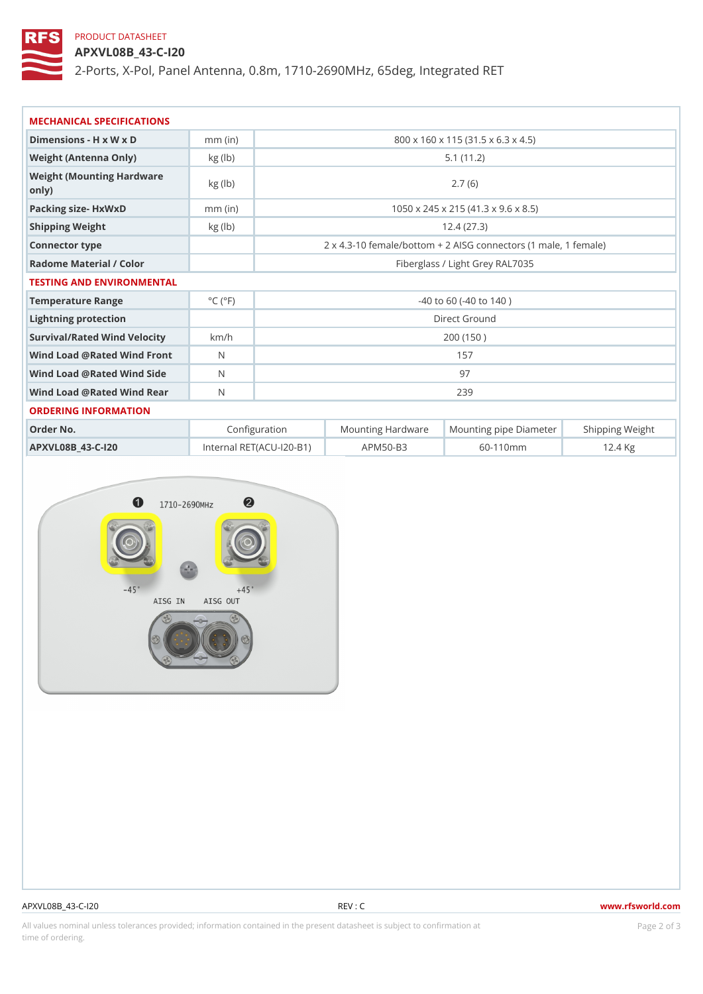## PRODUCT DATASHEET

APXVL08B\_43-C-I20

2-Ports, X-Pol, Panel Antenna, 0.8m, 1710-2690MHz, 65deg, Integrated

| MECHANICAL SPECIFICATIONS                                          |                             |                                     |                                                       |  |
|--------------------------------------------------------------------|-----------------------------|-------------------------------------|-------------------------------------------------------|--|
| Dimensions - H x W x D                                             | $mm$ (in)                   |                                     | 800 x 160 x 115 (31.5 x 6.3 x 4.5)                    |  |
| Weight (Antenna Only)                                              | kg(lb)                      |                                     | 5.1(11.2)                                             |  |
| Weight (Mounting Hardware kg (lb)<br>$\circ$ n $\vert$ y $\rangle$ |                             |                                     | 2.7(6)                                                |  |
| Packing size- HxWxD                                                | $mm$ (in)                   | 1050 x 245 x 215 (41.3 x 9.6 x 8.5) |                                                       |  |
| Shipping Weight                                                    | kg (lb)                     |                                     | 12.4(27.3)                                            |  |
| Connector type                                                     |                             |                                     | 2 x 4.3-10 female/bottom + 2 AISG connectors (1 ma e, |  |
| Radome Material / Color                                            |                             | Fiberglass / Light Grey RAL7035     |                                                       |  |
| TESTING AND ENVIRONMENTAL                                          |                             |                                     |                                                       |  |
| Temperature Range                                                  | $^{\circ}$ C ( $^{\circ}$ F | $-40$ to 60 ( $-40$ to 140)         |                                                       |  |
| Lightning protection                                               |                             | Direct Ground                       |                                                       |  |
| Survival/Rated Wind Velocikm/h                                     |                             |                                     | 200 (150)                                             |  |
| Wind Load @ Rated Wind Front                                       |                             | 157                                 |                                                       |  |
| Wind Load @ Rated Wind Sida                                        |                             | 97                                  |                                                       |  |
| Wind Load @ Rated Wind ReaN                                        |                             | 239                                 |                                                       |  |
| ORDERING INFORMATION                                               |                             |                                     |                                                       |  |
| Order No.                                                          |                             | Configuration                       | Mounting HardwaMeunting pipe DiameStheirpping Weight  |  |

| Order No.         | Configuration                  |              | Mounting HardwaMeunting pipe DiameStheirpping Weight |
|-------------------|--------------------------------|--------------|------------------------------------------------------|
| APXVL08B 43-C-120 | Internal RET(ACU  20-BAPM50-B3 | 60 - 110 m m | 12.4 Kg                                              |